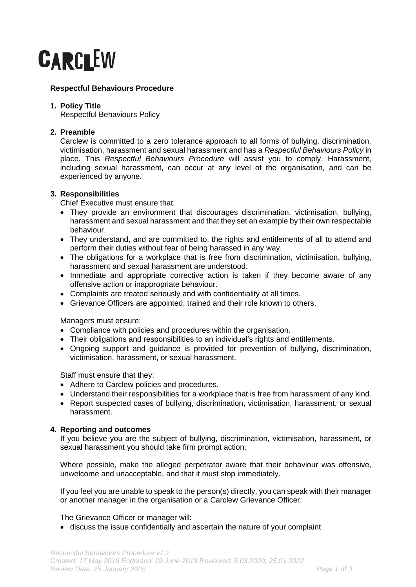

# **Respectful Behaviours Procedure**

## **1. Policy Title**

Respectful Behaviours Policy

# **2. Preamble**

Carclew is committed to a zero tolerance approach to all forms of bullying, discrimination, victimisation, harassment and sexual harassment and has a *Respectful Behaviours Policy* in place. This *Respectful Behaviours Procedure* will assist you to comply. Harassment, including sexual harassment, can occur at any level of the organisation, and can be experienced by anyone.

## **3. Responsibilities**

Chief Executive must ensure that:

- They provide an environment that discourages discrimination, victimisation, bullying, harassment and sexual harassment and that they set an example by their own respectable behaviour.
- They understand, and are committed to, the rights and entitlements of all to attend and perform their duties without fear of being harassed in any way.
- The obligations for a workplace that is free from discrimination, victimisation, bullying, harassment and sexual harassment are understood.
- Immediate and appropriate corrective action is taken if they become aware of any offensive action or inappropriate behaviour.
- Complaints are treated seriously and with confidentiality at all times.
- Grievance Officers are appointed, trained and their role known to others.

Managers must ensure:

- Compliance with policies and procedures within the organisation.
- Their obligations and responsibilities to an individual's rights and entitlements.
- Ongoing support and guidance is provided for prevention of bullying, discrimination, victimisation, harassment, or sexual harassment.

Staff must ensure that they:

- Adhere to Carclew policies and procedures.
- Understand their responsibilities for a workplace that is free from harassment of any kind.
- Report suspected cases of bullying, discrimination, victimisation, harassment, or sexual harassment.

## **4. Reporting and outcomes**

If you believe you are the subject of bullying, discrimination, victimisation, harassment, or sexual harassment you should take firm prompt action.

Where possible, make the alleged perpetrator aware that their behaviour was offensive, unwelcome and unacceptable, and that it must stop immediately.

If you feel you are unable to speak to the person(s) directly, you can speak with their manager or another manager in the organisation or a Carclew Grievance Officer.

The Grievance Officer or manager will:

• discuss the issue confidentially and ascertain the nature of your complaint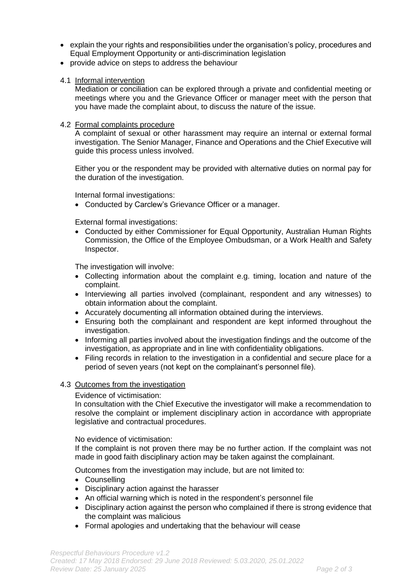- explain the your rights and responsibilities under the organisation's policy, procedures and Equal Employment Opportunity or anti-discrimination legislation
- provide advice on steps to address the behaviour
- 4.1 Informal intervention

Mediation or conciliation can be explored through a private and confidential meeting or meetings where you and the Grievance Officer or manager meet with the person that you have made the complaint about, to discuss the nature of the issue.

## 4.2 Formal complaints procedure

A complaint of sexual or other harassment may require an internal or external formal investigation. The Senior Manager, Finance and Operations and the Chief Executive will guide this process unless involved.

Either you or the respondent may be provided with alternative duties on normal pay for the duration of the investigation.

Internal formal investigations:

• Conducted by Carclew's Grievance Officer or a manager.

External formal investigations:

• Conducted by either Commissioner for Equal Opportunity, Australian Human Rights Commission, the Office of the Employee Ombudsman, or a Work Health and Safety Inspector.

The investigation will involve:

- Collecting information about the complaint e.g. timing, location and nature of the complaint.
- Interviewing all parties involved (complainant, respondent and any witnesses) to obtain information about the complaint.
- Accurately documenting all information obtained during the interviews.
- Ensuring both the complainant and respondent are kept informed throughout the investigation.
- Informing all parties involved about the investigation findings and the outcome of the investigation, as appropriate and in line with confidentiality obligations.
- Filing records in relation to the investigation in a confidential and secure place for a period of seven years (not kept on the complainant's personnel file).

#### 4.3 Outcomes from the investigation

Evidence of victimisation:

In consultation with the Chief Executive the investigator will make a recommendation to resolve the complaint or implement disciplinary action in accordance with appropriate legislative and contractual procedures.

No evidence of victimisation:

If the complaint is not proven there may be no further action. If the complaint was not made in good faith disciplinary action may be taken against the complainant.

Outcomes from the investigation may include, but are not limited to:

- Counselling
- Disciplinary action against the harasser
- An official warning which is noted in the respondent's personnel file
- Disciplinary action against the person who complained if there is strong evidence that the complaint was malicious
- Formal apologies and undertaking that the behaviour will cease